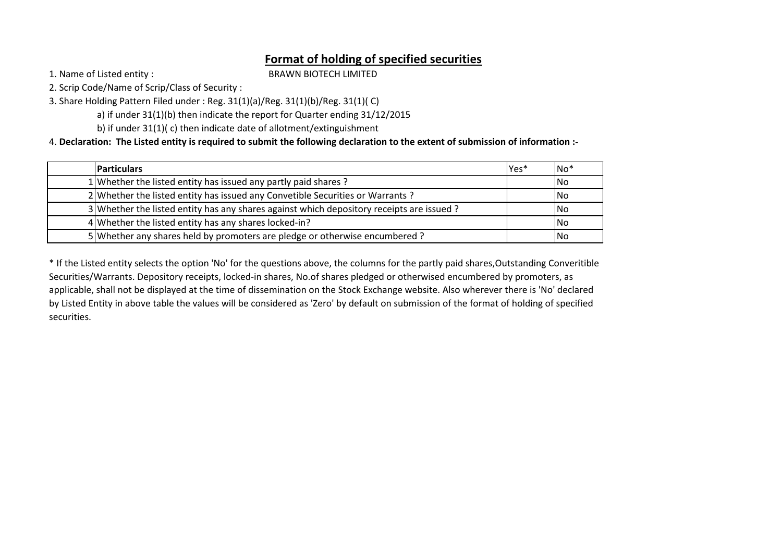## **Format of holding of specified securities**

1. Name of Listed entity :

BRAWN BIOTECH LIMITED

2. Scrip Code/Name of Scrip/Class of Security :

3. Share Holding Pattern Filed under : Reg. 31(1)(a)/Reg. 31(1)(b)/Reg. 31(1)( C)

a) if under 31(1)(b) then indicate the report for Quarter ending 31/12/2015

b) if under 31(1)( c) then indicate date of allotment/extinguishment

4. **Declaration: The Listed entity is required to submit the following declaration to the extent of submission of information :-**

| <b>Particulars</b>                                                                       | lYes* | lNo* |
|------------------------------------------------------------------------------------------|-------|------|
| 1 Whether the listed entity has issued any partly paid shares?                           |       | INo. |
| 2 Whether the listed entity has issued any Convetible Securities or Warrants?            |       | INo. |
| 3 Whether the listed entity has any shares against which depository receipts are issued? |       | INo. |
| 4 Whether the listed entity has any shares locked-in?                                    |       | l No |
| 5 Whether any shares held by promoters are pledge or otherwise encumbered?               |       | l No |

\* If the Listed entity selects the option 'No' for the questions above, the columns for the partly paid shares,Outstanding Converitible Securities/Warrants. Depository receipts, locked-in shares, No.of shares pledged or otherwised encumbered by promoters, as applicable, shall not be displayed at the time of dissemination on the Stock Exchange website. Also wherever there is 'No' declared by Listed Entity in above table the values will be considered as 'Zero' by default on submission of the format of holding of specified securities.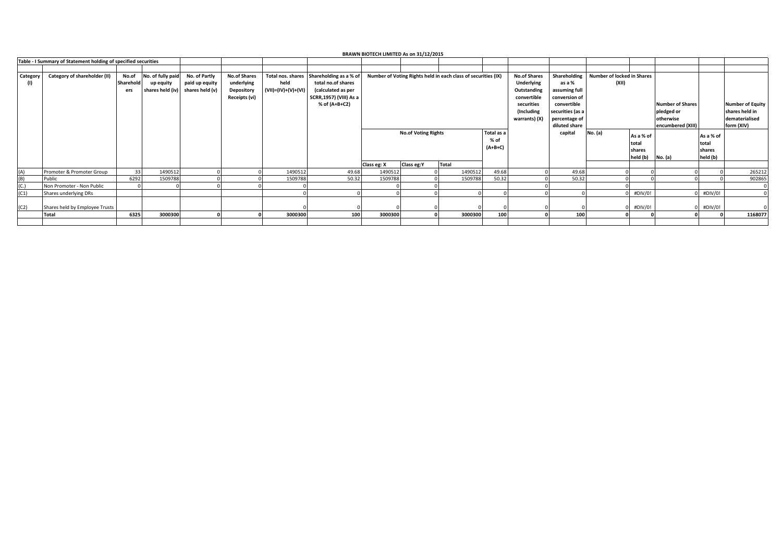|          | <b>BRAWN BIOTECH LIMITED As on 31/12/2015</b>                  |           |                                  |                |                     |                     |                        |             |                            |                                                               |            |                     |                  |                                   |           |                         |           |                         |
|----------|----------------------------------------------------------------|-----------|----------------------------------|----------------|---------------------|---------------------|------------------------|-------------|----------------------------|---------------------------------------------------------------|------------|---------------------|------------------|-----------------------------------|-----------|-------------------------|-----------|-------------------------|
|          | Table - I Summary of Statement holding of specified securities |           |                                  |                |                     |                     |                        |             |                            |                                                               |            |                     |                  |                                   |           |                         |           |                         |
|          |                                                                |           |                                  |                |                     |                     |                        |             |                            |                                                               |            |                     |                  |                                   |           |                         |           |                         |
| Category | Category of shareholder (II)                                   | No.of     | No. of fully paid                | No. of Partly  | <b>No.of Shares</b> | Total nos. shares   | Shareholding as a % of |             |                            | Number of Voting Rights held in each class of securities (IX) |            | <b>No.of Shares</b> | Shareholding     | <b>Number of locked in Shares</b> |           |                         |           |                         |
| (1)      |                                                                | Sharehold | up equity                        | paid up equity | underlying          | held                | total no.of shares     |             |                            |                                                               |            | Underlying          | (XII)<br>as a %  |                                   |           |                         |           |                         |
|          |                                                                | ers       | shares held (iv) shares held (v) |                | Depository          | (VII)=(IV)+(V)+(VI) | (calculated as per     |             |                            |                                                               |            | Outstanding         | assuming full    |                                   |           |                         |           |                         |
|          |                                                                |           |                                  |                | Receipts (vi)       |                     | SCRR,1957) (VIII) As a |             |                            |                                                               |            | convertible         | conversion of    |                                   |           |                         |           |                         |
|          |                                                                |           |                                  |                |                     |                     | % of (A+B+C2)          |             |                            |                                                               |            | securities          | convertible      |                                   |           | <b>Number of Shares</b> |           | <b>Number of Equity</b> |
|          |                                                                |           |                                  |                |                     |                     |                        |             |                            |                                                               |            | (Including)         | securities (as a |                                   |           | pledged or              |           | shares held in          |
|          |                                                                |           |                                  |                |                     |                     |                        |             |                            |                                                               |            | warrants) (X)       | percentage of    |                                   |           | otherwise               |           | dematerialised          |
|          |                                                                |           |                                  |                |                     |                     |                        |             |                            |                                                               |            |                     | diluted share    |                                   |           | encumbered (XIII)       |           | form (XIV)              |
|          |                                                                |           |                                  |                |                     |                     |                        |             | <b>No.of Voting Rights</b> |                                                               | Total as a |                     | capital          | No. (a)                           |           |                         |           |                         |
|          |                                                                |           |                                  |                |                     |                     |                        |             |                            |                                                               | % of       |                     |                  |                                   | As a % of |                         | As a % of |                         |
|          |                                                                |           |                                  |                |                     |                     |                        |             |                            |                                                               | $(A+B+C)$  |                     |                  |                                   | total     |                         | total     |                         |
|          |                                                                |           |                                  |                |                     |                     |                        |             |                            |                                                               |            |                     |                  |                                   | shares    |                         | shares    |                         |
|          |                                                                |           |                                  |                |                     |                     |                        |             |                            |                                                               |            |                     |                  |                                   | held (b)  | No. (a)                 | held (b)  |                         |
|          |                                                                |           |                                  |                |                     |                     |                        | Class eg: X | Class eg:Y                 | Total                                                         |            |                     |                  |                                   |           |                         |           |                         |
| (A)      | Promoter & Promoter Group                                      | 33        | 1490512                          |                |                     | 1490512             | 49.68                  | 1490512     |                            | 1490512                                                       | 49.68      |                     | 49.68            |                                   |           |                         |           | 265212                  |
| (B)      | Public                                                         | 6292      | 1509788                          |                |                     | 1509788             | 50.32                  | 1509788     |                            | 1509788                                                       | 50.32      |                     | 50.32            |                                   |           |                         |           | 902865                  |
| (C.)     | Non Promoter - Non Public                                      |           |                                  |                |                     |                     |                        |             |                            |                                                               |            |                     |                  |                                   |           |                         |           |                         |
| (C1)     | Shares underlying DRs                                          |           |                                  |                |                     |                     |                        |             |                            |                                                               |            |                     |                  |                                   | #DIV/0!   |                         | #DIV/0!   |                         |
|          |                                                                |           |                                  |                |                     |                     |                        |             |                            |                                                               |            |                     |                  |                                   |           |                         |           |                         |
| (C2)     | Shares held by Employee Trusts                                 |           |                                  |                |                     |                     |                        |             |                            |                                                               |            |                     |                  |                                   | #DIV/0!   |                         | #DIV/0!   |                         |
|          | <b>Total</b>                                                   | 6325      | 3000300                          |                | <sub>0</sub>        | 3000300             | 100                    | 3000300     |                            | 3000300                                                       | 100        |                     | 100              |                                   |           |                         |           | 1168077                 |
|          |                                                                |           |                                  |                |                     |                     |                        |             |                            |                                                               |            |                     |                  |                                   |           |                         |           |                         |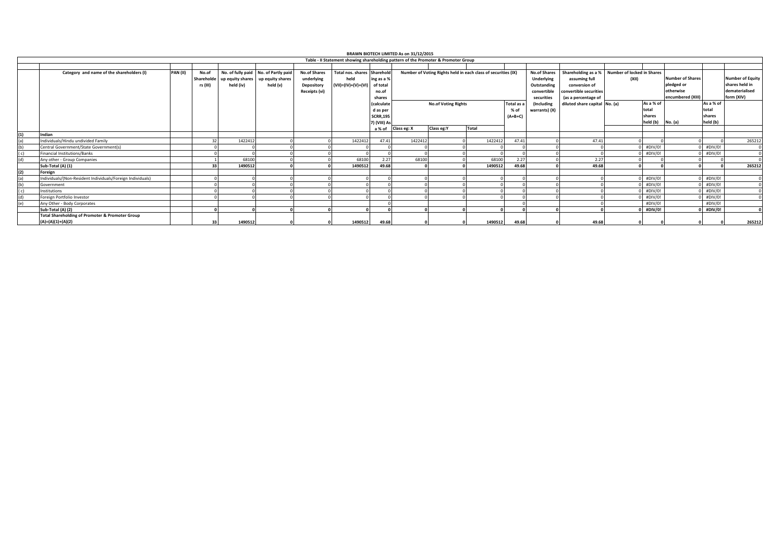|                                                                                    |                 |                                 |           |                                                                                       |                                                                  |                                                            | BRAWN BIOTECH LIMITED As on 31/12/2015                   |                                                                                                     |            |                                                               |       |                                                                                      |                                                                                                        |                                     |                                                  |                                                                         |                                          |                                                                           |  |  |
|------------------------------------------------------------------------------------|-----------------|---------------------------------|-----------|---------------------------------------------------------------------------------------|------------------------------------------------------------------|------------------------------------------------------------|----------------------------------------------------------|-----------------------------------------------------------------------------------------------------|------------|---------------------------------------------------------------|-------|--------------------------------------------------------------------------------------|--------------------------------------------------------------------------------------------------------|-------------------------------------|--------------------------------------------------|-------------------------------------------------------------------------|------------------------------------------|---------------------------------------------------------------------------|--|--|
| Table - II Statement showing shareholding pattern of the Promoter & Promoter Group |                 |                                 |           |                                                                                       |                                                                  |                                                            |                                                          |                                                                                                     |            |                                                               |       |                                                                                      |                                                                                                        |                                     |                                                  |                                                                         |                                          |                                                                           |  |  |
|                                                                                    |                 |                                 |           |                                                                                       |                                                                  |                                                            |                                                          |                                                                                                     |            |                                                               |       |                                                                                      |                                                                                                        |                                     |                                                  |                                                                         |                                          |                                                                           |  |  |
| Category and name of the shareholders (I)                                          | <b>PAN (II)</b> | No.of<br>Shareholde<br>rs (III) | held (iv) | No. of fully paid No. of Partly paid<br>up equity shares up equity shares<br>held (v) | <b>No.of Shares</b><br>underlying<br>Depository<br>Receipts (vi) | Total nos, shares Sharehold<br>held<br>(VII)=(IV)+(V)+(VI) | ing as a %<br>of total<br>no.of<br>shares                |                                                                                                     |            | Number of Voting Rights held in each class of securities (IX) |       | <b>No.of Shares</b><br><b>Underlying</b><br>Outstanding<br>convertible<br>securities | Shareholding as a %<br>assuming full<br>conversion of<br>convertible securities<br>(as a percentage of | Number of locked in Shares<br>(XII) |                                                  | <b>Number of Shares</b><br>pledged or<br>otherwise<br>encumbered (XIII) |                                          | <b>Number of Equity</b><br>shares held in<br>dematerialised<br>form (XIV) |  |  |
|                                                                                    |                 |                                 |           |                                                                                       |                                                                  |                                                            | (calculate<br>d as per<br><b>SCRR,195</b><br>7) (VIII) A | <b>No.of Voting Rights</b><br>Total as a<br><i>(Including</i><br>warrants) (X)<br>% of<br>$(A+B+C)$ |            |                                                               |       |                                                                                      | diluted share capital No. (a)                                                                          |                                     | As a % of<br>total<br>shares<br>held (b) No. (a) |                                                                         | As a % of<br>total<br>shares<br>held (b) |                                                                           |  |  |
|                                                                                    |                 |                                 |           |                                                                                       |                                                                  |                                                            | a % of                                                   | Class eg: X                                                                                         | Class eg:Y | <b>Total</b>                                                  |       |                                                                                      |                                                                                                        |                                     |                                                  |                                                                         |                                          |                                                                           |  |  |
| Indian                                                                             |                 |                                 |           |                                                                                       |                                                                  |                                                            |                                                          |                                                                                                     |            |                                                               |       |                                                                                      |                                                                                                        |                                     |                                                  |                                                                         |                                          |                                                                           |  |  |
| Individuals/Hindu undivided Family                                                 |                 |                                 | 1422412   |                                                                                       |                                                                  | 1422412                                                    | 47.41                                                    | 1422412                                                                                             |            | 1422412                                                       | 47.41 |                                                                                      | 47.41                                                                                                  |                                     |                                                  |                                                                         |                                          | 265212                                                                    |  |  |
| Central Government/State Government(s)                                             |                 |                                 |           |                                                                                       |                                                                  |                                                            |                                                          |                                                                                                     |            |                                                               |       |                                                                                      |                                                                                                        |                                     | #DIV/0!                                          |                                                                         | #DIV/0!                                  |                                                                           |  |  |
| Financial Institutions/Banks                                                       |                 |                                 |           |                                                                                       |                                                                  |                                                            |                                                          |                                                                                                     |            |                                                               |       |                                                                                      |                                                                                                        |                                     | #DIV/0!                                          |                                                                         | #DIV/0!                                  | $\sqrt{2}$                                                                |  |  |
| Any other - Group Companies                                                        |                 |                                 | 68100     |                                                                                       |                                                                  | 68100                                                      | 2.27                                                     | 68100                                                                                               |            | 68100                                                         | 2.27  |                                                                                      | 2.27                                                                                                   |                                     |                                                  |                                                                         |                                          |                                                                           |  |  |
| Sub-Total (A) (1)                                                                  |                 | 33                              | 1490512   |                                                                                       |                                                                  | 1490512                                                    | 49.68                                                    |                                                                                                     |            | 1490512                                                       | 49.68 |                                                                                      | 49.68                                                                                                  |                                     |                                                  |                                                                         |                                          | 265212                                                                    |  |  |
| Foreign                                                                            |                 |                                 |           |                                                                                       |                                                                  |                                                            |                                                          |                                                                                                     |            |                                                               |       |                                                                                      |                                                                                                        |                                     |                                                  |                                                                         |                                          |                                                                           |  |  |
| Individuals/(Non-Resident Individuals/Foreign Individuals)                         |                 |                                 |           |                                                                                       |                                                                  |                                                            |                                                          |                                                                                                     |            |                                                               |       |                                                                                      |                                                                                                        |                                     | #DIV/0!                                          |                                                                         | #DIV/0!                                  |                                                                           |  |  |
| Government                                                                         |                 |                                 |           |                                                                                       |                                                                  |                                                            |                                                          |                                                                                                     |            |                                                               |       |                                                                                      |                                                                                                        |                                     | #DIV/0!                                          |                                                                         | #DIV/0!                                  |                                                                           |  |  |
| Institutions                                                                       |                 |                                 |           |                                                                                       |                                                                  |                                                            |                                                          |                                                                                                     |            |                                                               |       |                                                                                      |                                                                                                        |                                     | #DIV/0!                                          |                                                                         | #DIV/0!                                  |                                                                           |  |  |
| Foreign Portfolio Investor                                                         |                 |                                 |           |                                                                                       |                                                                  |                                                            |                                                          |                                                                                                     |            |                                                               |       |                                                                                      |                                                                                                        |                                     | #DIV/0!                                          |                                                                         | #DIV/0!                                  |                                                                           |  |  |
| Any Other - Body Corporates                                                        |                 |                                 |           |                                                                                       |                                                                  |                                                            |                                                          |                                                                                                     |            |                                                               |       |                                                                                      |                                                                                                        |                                     | #DIV/0!                                          |                                                                         | #DIV/0!                                  |                                                                           |  |  |
| Sub-Total (A) (2)                                                                  |                 |                                 |           |                                                                                       |                                                                  |                                                            |                                                          |                                                                                                     |            |                                                               |       |                                                                                      |                                                                                                        |                                     | #DIV/0!                                          |                                                                         | #DIV/0!                                  |                                                                           |  |  |
| <b>Total Shareholding of Promoter &amp; Promoter Group</b>                         |                 |                                 |           |                                                                                       |                                                                  |                                                            |                                                          |                                                                                                     |            |                                                               |       |                                                                                      |                                                                                                        |                                     |                                                  |                                                                         |                                          |                                                                           |  |  |
| $(A)=(A)(1)+(A)(2)$                                                                |                 |                                 | 1490512   |                                                                                       |                                                                  | 1490512                                                    | 49.68                                                    |                                                                                                     |            | 1490512                                                       | 49.68 |                                                                                      | 49.68                                                                                                  |                                     |                                                  |                                                                         |                                          | 265212                                                                    |  |  |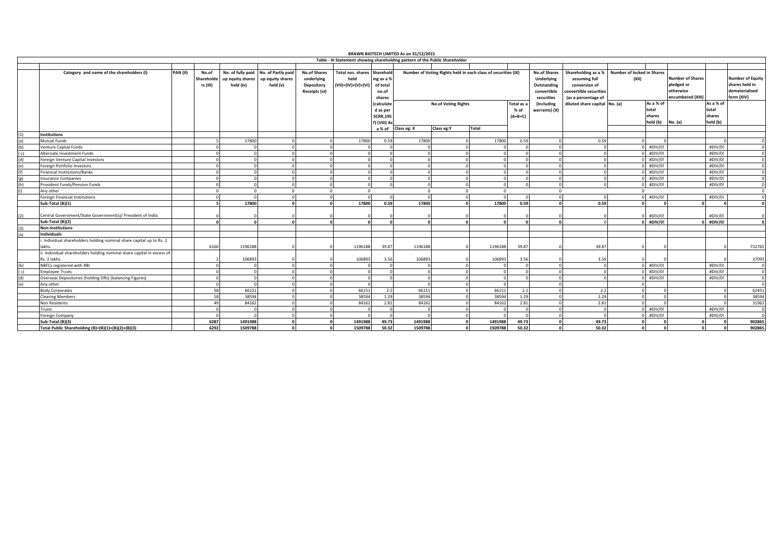|            |                                                                                       |          |                                 | BRAWN BIOTECH LIMITED As on 31/12/2015<br>Table - III Statement showing shareholding pattern of the Public Shareholder |                                                    |                                                                  |                                                         |                                                           |             |                                                                                             |              |                                 |                             |                               |          |                                                                                                        |                                            |                                          |                                                                         |  |                                                                           |
|------------|---------------------------------------------------------------------------------------|----------|---------------------------------|------------------------------------------------------------------------------------------------------------------------|----------------------------------------------------|------------------------------------------------------------------|---------------------------------------------------------|-----------------------------------------------------------|-------------|---------------------------------------------------------------------------------------------|--------------|---------------------------------|-----------------------------|-------------------------------|----------|--------------------------------------------------------------------------------------------------------|--------------------------------------------|------------------------------------------|-------------------------------------------------------------------------|--|---------------------------------------------------------------------------|
|            |                                                                                       |          |                                 |                                                                                                                        |                                                    |                                                                  |                                                         |                                                           |             |                                                                                             |              |                                 |                             |                               |          |                                                                                                        |                                            |                                          |                                                                         |  |                                                                           |
|            |                                                                                       |          |                                 |                                                                                                                        |                                                    |                                                                  |                                                         |                                                           |             |                                                                                             |              |                                 | <b>No.of Shares</b>         |                               |          |                                                                                                        |                                            |                                          |                                                                         |  |                                                                           |
|            | Category and name of the shareholders (I)                                             | PAN (II) | No.of<br>Shareholde<br>rs (III) | No. of fully paid<br>up equity shares<br>held (iv)                                                                     | No. of Partly paid<br>up equity shares<br>held (v) | <b>No.of Shares</b><br>underlying<br>Depository<br>Receipts (vi) | <b>Total nos, shares</b><br>held<br>(VII)=(IV)+(V)+(VI) | Sharehold<br>ing as a %<br>of total<br>no.of<br>shares    |             | Number of Voting Rights held in each class of securities (IX)<br><b>No.of Voting Rights</b> |              |                                 |                             |                               |          | Shareholding as a %<br>assuming full<br>conversion of<br>convertible securities<br>(as a percentage of | <b>Number of locked in Shares</b><br>(X  ) |                                          | <b>Number of Shares</b><br>pledged or<br>otherwise<br>encumbered (XIII) |  | <b>Number of Equity</b><br>shares held in<br>dematerialised<br>form (XIV) |
|            |                                                                                       |          |                                 |                                                                                                                        |                                                    |                                                                  |                                                         | (calculate<br>d as per<br><b>SCRR,195</b><br>7) (VIII) As |             |                                                                                             |              | Total as a<br>% of<br>$(A+B+C)$ | (Including<br>warrants) (X) | diluted share capital No. (a) |          | As a % of<br>total<br>shares<br>held (b) No. (a)                                                       |                                            | As a % of<br>total<br>shares<br>held (b) |                                                                         |  |                                                                           |
|            | <b>Institutions</b>                                                                   |          |                                 |                                                                                                                        |                                                    |                                                                  |                                                         | a % of                                                    | Class eg: X | Class eg:Y                                                                                  | <b>Total</b> |                                 |                             |                               |          |                                                                                                        |                                            |                                          |                                                                         |  |                                                                           |
| (1)<br>(a) | Mutual Funds                                                                          |          |                                 | 17800                                                                                                                  |                                                    |                                                                  | 17800                                                   | 0.59                                                      | 17800       |                                                                                             | 17800        | 0.59                            |                             | 0.59                          |          |                                                                                                        |                                            |                                          |                                                                         |  |                                                                           |
| (b)        | Venture Capital Funds                                                                 |          |                                 |                                                                                                                        |                                                    |                                                                  |                                                         |                                                           |             |                                                                                             |              |                                 |                             |                               |          | #DIV/0!                                                                                                |                                            | #DIV/0!                                  | $\Omega$                                                                |  |                                                                           |
| (c)        | Alternate Investment Funds                                                            |          |                                 |                                                                                                                        |                                                    |                                                                  |                                                         |                                                           |             |                                                                                             |              |                                 |                             |                               |          | #DIV/0                                                                                                 |                                            | #DIV/0!                                  | $\Omega$                                                                |  |                                                                           |
| (d)        | Foreign Venture Capital Investors                                                     |          |                                 |                                                                                                                        |                                                    |                                                                  |                                                         |                                                           |             |                                                                                             |              |                                 |                             |                               |          | #DIV/0!                                                                                                |                                            | #DIV/0!                                  | $\Omega$                                                                |  |                                                                           |
| (e)        | Foreign Portfolio Investors                                                           |          |                                 |                                                                                                                        |                                                    |                                                                  |                                                         |                                                           |             |                                                                                             |              |                                 |                             |                               |          | #DIV/0!                                                                                                |                                            | #DIV/0!                                  | $\Omega$                                                                |  |                                                                           |
| (f)        | inancial Institutions/Banks                                                           |          |                                 |                                                                                                                        |                                                    |                                                                  |                                                         |                                                           |             |                                                                                             |              |                                 |                             |                               |          | #DIV/0!                                                                                                |                                            | #DIV/0!                                  | $\Omega$                                                                |  |                                                                           |
| (g)        | nsurance Companies                                                                    |          |                                 |                                                                                                                        |                                                    |                                                                  |                                                         |                                                           |             |                                                                                             |              |                                 |                             |                               |          | #DIV/0!                                                                                                |                                            | #DIV/0!                                  | $\Omega$                                                                |  |                                                                           |
| (h)        | Provident Funds/Pension Funds                                                         |          |                                 |                                                                                                                        |                                                    |                                                                  |                                                         |                                                           |             |                                                                                             |              |                                 |                             |                               |          | #DIV/0!                                                                                                |                                            | #DIV/0!                                  | $\Omega$                                                                |  |                                                                           |
| (i)        | Anv other                                                                             |          | $\Omega$                        | $\Omega$                                                                                                               | $\Omega$                                           | $\Omega$                                                         |                                                         |                                                           |             |                                                                                             | $\sqrt{2}$   |                                 | $\Omega$                    |                               | $\Omega$ |                                                                                                        |                                            |                                          | $\Omega$                                                                |  |                                                                           |
|            | <b>Foreign Financial Institutions</b>                                                 |          |                                 |                                                                                                                        |                                                    |                                                                  |                                                         |                                                           |             |                                                                                             |              |                                 |                             |                               |          | #DIV/0!                                                                                                |                                            | #DIV/0!                                  | $\Omega$                                                                |  |                                                                           |
|            | Sub-Total (B)(1)                                                                      |          |                                 | 17800                                                                                                                  |                                                    |                                                                  | 17800                                                   | 0.59                                                      | 17800       |                                                                                             | 17800        | 0.59                            |                             | 0.59                          |          |                                                                                                        |                                            |                                          | $\Omega$                                                                |  |                                                                           |
| (2)        | Central Government/State Government(s)/ President of India                            |          |                                 |                                                                                                                        |                                                    |                                                                  |                                                         |                                                           |             |                                                                                             |              |                                 |                             |                               |          | #DIV/0!                                                                                                |                                            | #DIV/0!                                  |                                                                         |  |                                                                           |
|            | Sub-Total (B)(2)                                                                      |          | $\sqrt{2}$                      | $\mathbf{r}$                                                                                                           |                                                    |                                                                  |                                                         |                                                           |             |                                                                                             |              |                                 |                             |                               |          | 0 #DIV/0!                                                                                              |                                            | #DIV/0!                                  | $\Omega$                                                                |  |                                                                           |
| (3)        | <b>Non-Institutions</b>                                                               |          |                                 |                                                                                                                        |                                                    |                                                                  |                                                         |                                                           |             |                                                                                             |              |                                 |                             |                               |          |                                                                                                        |                                            |                                          |                                                                         |  |                                                                           |
| (a)        | Individuals                                                                           |          |                                 |                                                                                                                        |                                                    |                                                                  |                                                         |                                                           |             |                                                                                             |              |                                 |                             |                               |          |                                                                                                        |                                            |                                          |                                                                         |  |                                                                           |
|            | . Individual shareholders holding nominal share capital up to Rs. 2<br>lakhs.         |          | 6160                            | 1196188                                                                                                                |                                                    |                                                                  | 1196188                                                 | 39.87                                                     | 1196188     |                                                                                             | 1196188      | 39.87                           |                             | 39.87                         |          |                                                                                                        |                                            |                                          | 732765                                                                  |  |                                                                           |
|            | i. Individual shareholders holding nominal share capital in excess of<br>Rs. 2 lakhs. |          |                                 | 106893                                                                                                                 |                                                    |                                                                  | 106893                                                  | 3.56                                                      | 106893      |                                                                                             | 106893       | 3.56                            |                             | 3.56                          |          |                                                                                                        |                                            |                                          | 37093                                                                   |  |                                                                           |
| (b)        | NBFCs registered with RBI                                                             |          |                                 |                                                                                                                        |                                                    |                                                                  |                                                         |                                                           |             |                                                                                             |              |                                 |                             |                               |          | #DIV/0!                                                                                                |                                            | #DIV/0!                                  | $\Omega$                                                                |  |                                                                           |
| (c)        | Employee Trusts                                                                       |          |                                 |                                                                                                                        |                                                    |                                                                  |                                                         |                                                           |             |                                                                                             |              |                                 |                             |                               |          | #DIV/0!                                                                                                |                                            | #DIV/0!                                  | $\overline{0}$                                                          |  |                                                                           |
| (d)        | Overseas Depositories (holding DRs) (balancing Figures)                               |          |                                 |                                                                                                                        |                                                    |                                                                  |                                                         |                                                           |             |                                                                                             |              |                                 |                             |                               |          | #DIV/0!                                                                                                |                                            | #DIV/0!                                  | $\Omega$                                                                |  |                                                                           |
| (e)        | Any other                                                                             |          |                                 |                                                                                                                        |                                                    |                                                                  |                                                         |                                                           |             |                                                                                             |              |                                 |                             |                               |          |                                                                                                        |                                            |                                          | $\Omega$                                                                |  |                                                                           |
|            | Body Corporates                                                                       |          | 58                              | 66151                                                                                                                  |                                                    |                                                                  | 66151                                                   | 2.2                                                       | 66151       |                                                                                             | 66151        | 2.2                             |                             | 2.2                           |          |                                                                                                        |                                            |                                          | 62451                                                                   |  |                                                                           |
|            | <b>Clearing Members</b>                                                               |          | 18                              | 38594                                                                                                                  |                                                    |                                                                  | 38594                                                   | 1.29                                                      | 38594       |                                                                                             | 38594        | 1.29                            |                             | 1.29                          |          |                                                                                                        |                                            |                                          | 38594                                                                   |  |                                                                           |
|            | Non Residents                                                                         |          | 49                              | 84162                                                                                                                  |                                                    |                                                                  | 84162                                                   | 2.81                                                      | 84162       |                                                                                             | 84162        | 2.81                            |                             | 2.81                          |          |                                                                                                        |                                            |                                          | 31962                                                                   |  |                                                                           |
|            | rusts                                                                                 |          |                                 |                                                                                                                        |                                                    |                                                                  |                                                         | $\Omega$                                                  |             |                                                                                             |              |                                 |                             |                               |          | #DIV/0!                                                                                                |                                            | #DIV/0!                                  | $\Omega$                                                                |  |                                                                           |
|            | Foreign Company                                                                       |          |                                 |                                                                                                                        |                                                    |                                                                  |                                                         |                                                           |             |                                                                                             |              |                                 |                             |                               |          | #DIV/0!                                                                                                |                                            | #DIV/0!                                  | $\Omega$                                                                |  |                                                                           |
|            | Sub-Total (B)(3)                                                                      |          | 6287                            | 1491988                                                                                                                |                                                    |                                                                  | 1491988                                                 | 49.73                                                     | 1491988     |                                                                                             | 1491988      | 49.73                           |                             | 49.73                         |          |                                                                                                        |                                            |                                          | 902865                                                                  |  |                                                                           |
|            | Total Public Shareholding (B)=(B)(1)+(B)(2)+(B)(3)                                    |          | 6292                            | 1509788                                                                                                                |                                                    |                                                                  | 1509788                                                 | 50.32                                                     | 1509788     |                                                                                             | 1509788      | 50.32                           |                             | 50.32                         |          |                                                                                                        |                                            |                                          | 902865                                                                  |  |                                                                           |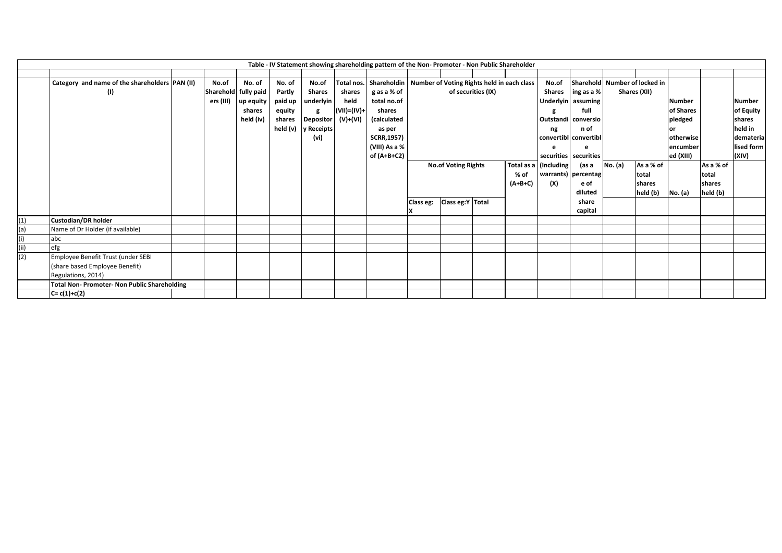| Table - IV Statement showing shareholding pattern of the Non- Promoter - Non Public Shareholder |                                                |  |                      |           |          |                  |             |                                                                       |                            |                    |      |           |                       |                       |         |                               |               |           |               |
|-------------------------------------------------------------------------------------------------|------------------------------------------------|--|----------------------|-----------|----------|------------------|-------------|-----------------------------------------------------------------------|----------------------------|--------------------|------|-----------|-----------------------|-----------------------|---------|-------------------------------|---------------|-----------|---------------|
|                                                                                                 |                                                |  |                      |           |          |                  |             |                                                                       |                            |                    |      |           |                       |                       |         |                               |               |           |               |
|                                                                                                 | Category and name of the shareholders PAN (II) |  | No.of                | No. of    | No. of   | No.of            |             | Total nos.   Shareholdin   Number of Voting Rights held in each class |                            |                    |      |           | No.of                 |                       |         | Sharehold Number of locked in |               |           |               |
|                                                                                                 | (1)                                            |  | Sharehold fully paid |           | Partly   | <b>Shares</b>    | shares      | g as a % of                                                           |                            | of securities (IX) |      |           | <b>Shares</b>         | ing as a %            |         | Shares (XII)                  |               |           |               |
|                                                                                                 |                                                |  | ers (III)            | up equity | paid up  | underlyin        | held        | total no.of                                                           |                            |                    |      |           |                       | Underlyin assuming    |         |                               | <b>Number</b> |           | <b>Number</b> |
|                                                                                                 |                                                |  |                      | shares    | equity   | g                | (VII)=(IV)+ | shares                                                                |                            |                    |      |           |                       | full                  |         |                               | of Shares     |           | of Equity     |
|                                                                                                 |                                                |  |                      | held (iv) | shares   | <b>Depositor</b> | (V)+(VI)    | (calculated                                                           |                            |                    |      |           |                       | Outstandi conversio   |         |                               | pledged       |           | shares        |
|                                                                                                 |                                                |  |                      |           | held (v) | y Receipts       |             | as per                                                                |                            |                    |      |           | ng                    | n of                  |         |                               | or            |           | held in       |
|                                                                                                 |                                                |  |                      |           |          | (vi)             |             | <b>SCRR,1957)</b>                                                     |                            |                    |      |           |                       | convertibl convertibl |         |                               | otherwise     |           | demateria     |
|                                                                                                 |                                                |  |                      |           |          |                  |             | (VIII) As a %                                                         |                            |                    |      |           |                       |                       |         |                               | encumber      |           | lised form    |
|                                                                                                 |                                                |  |                      |           |          |                  |             | of (A+B+C2)                                                           |                            |                    |      |           |                       | securities securities |         |                               | ed (XIII)     |           | (XIV)         |
|                                                                                                 |                                                |  |                      |           |          |                  |             |                                                                       | <b>No.of Voting Rights</b> |                    |      |           | Total as a (Including | (as a                 | No. (a) | As a % of                     |               | As a % of |               |
|                                                                                                 |                                                |  |                      |           |          |                  |             |                                                                       |                            |                    | % of |           | warrants) percentag   |                       | total   |                               | total         |           |               |
|                                                                                                 |                                                |  |                      |           |          |                  |             |                                                                       |                            |                    |      | $(A+B+C)$ | (X)                   | e of                  |         | shares                        |               | shares    |               |
|                                                                                                 |                                                |  |                      |           |          |                  |             |                                                                       |                            |                    |      |           |                       | diluted               |         | held (b)                      | No. (a)       | held (b)  |               |
|                                                                                                 |                                                |  |                      |           |          |                  |             |                                                                       | Class eg:                  | Class eg:Y Total   |      |           |                       | share                 |         |                               |               |           |               |
|                                                                                                 |                                                |  |                      |           |          |                  |             |                                                                       |                            |                    |      |           |                       | capital               |         |                               |               |           |               |
| (1)                                                                                             | Custodian/DR holder                            |  |                      |           |          |                  |             |                                                                       |                            |                    |      |           |                       |                       |         |                               |               |           |               |
| (a)                                                                                             | Name of Dr Holder (if available)               |  |                      |           |          |                  |             |                                                                       |                            |                    |      |           |                       |                       |         |                               |               |           |               |
| (i)                                                                                             | abc                                            |  |                      |           |          |                  |             |                                                                       |                            |                    |      |           |                       |                       |         |                               |               |           |               |
| (i)                                                                                             | efg                                            |  |                      |           |          |                  |             |                                                                       |                            |                    |      |           |                       |                       |         |                               |               |           |               |
| (2)                                                                                             | Employee Benefit Trust (under SEBI             |  |                      |           |          |                  |             |                                                                       |                            |                    |      |           |                       |                       |         |                               |               |           |               |
|                                                                                                 | (share based Employee Benefit)                 |  |                      |           |          |                  |             |                                                                       |                            |                    |      |           |                       |                       |         |                               |               |           |               |
|                                                                                                 | Regulations, 2014)                             |  |                      |           |          |                  |             |                                                                       |                            |                    |      |           |                       |                       |         |                               |               |           |               |
|                                                                                                 | Total Non-Promoter-Non Public Shareholding     |  |                      |           |          |                  |             |                                                                       |                            |                    |      |           |                       |                       |         |                               |               |           |               |
|                                                                                                 | $C = c(1) + c(2)$                              |  |                      |           |          |                  |             |                                                                       |                            |                    |      |           |                       |                       |         |                               |               |           |               |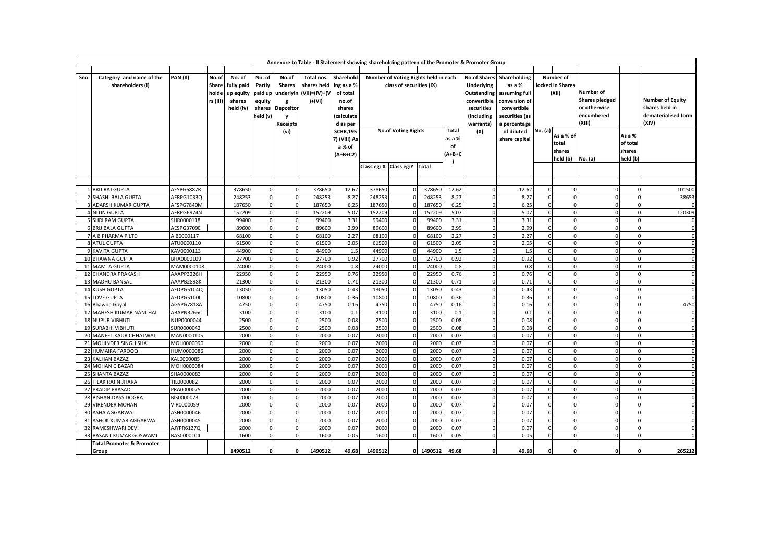| Annexure to Table - II Statement showing shareholding pattern of the Promoter & Promoter Group |                                      |                          |          |                |                      |                  |                |                 |                |                                      |                |              |                          |                           |                      |                      |                       |                      |                         |
|------------------------------------------------------------------------------------------------|--------------------------------------|--------------------------|----------|----------------|----------------------|------------------|----------------|-----------------|----------------|--------------------------------------|----------------|--------------|--------------------------|---------------------------|----------------------|----------------------|-----------------------|----------------------|-------------------------|
|                                                                                                |                                      |                          |          |                |                      |                  |                |                 |                |                                      |                |              |                          |                           |                      |                      |                       |                      |                         |
| Sno                                                                                            | Category and name of the             | PAN(II)                  | No.of    | No. of         | No. of               | No.of            | Total nos.     | Sharehold       |                | Number of Voting Rights held in each |                |              |                          | No.of Shares Shareholding |                      | Number of            |                       |                      |                         |
|                                                                                                | shareholders (I)                     |                          | Share    | fully paid     | Partly               | <b>Shares</b>    | shares held    | ing as a %      |                | class of securities (IX)             |                |              | Underlying               | as a %                    |                      | locked in Shares     |                       |                      |                         |
|                                                                                                |                                      |                          | holde    | up equity      | paid up              | underlyin        | (VII)=(IV)+(V  | of total        |                |                                      |                |              | <b>Outstanding</b>       | assuming full             | (XII)                |                      | Number of             |                      |                         |
|                                                                                                |                                      |                          | rs (III) | shares         | equity               | g                | )+(VI)         | no.of           |                |                                      |                |              | convertible              | conversion of             |                      |                      | <b>Shares pledged</b> |                      | <b>Number of Equity</b> |
|                                                                                                |                                      |                          |          | held (iv)      | shares               | <b>Depositor</b> |                | shares          |                |                                      |                |              | securities               | convertible               |                      |                      | or otherwise          |                      | shares held in          |
|                                                                                                |                                      |                          |          |                | held (v)             | <b>y</b>         |                | (calculate      |                |                                      |                |              | (Including               | securities (as            |                      |                      | encumbered            |                      | dematerialised form     |
|                                                                                                |                                      |                          |          |                |                      | Receipts         |                | d as per        |                |                                      |                |              | warrants)                | a percentage              |                      |                      | (XIII)                |                      | (XIV)                   |
|                                                                                                |                                      |                          |          |                |                      | (vi)             |                | <b>SCRR,195</b> |                | <b>No.of Voting Rights</b>           |                | Total        | (X)                      | of diluted                | No. (a)              |                      |                       |                      |                         |
|                                                                                                |                                      |                          |          |                |                      |                  |                | 7) (VIII) As    |                |                                      |                | as a %       |                          | share capital             |                      | As a % of            |                       | As a %               |                         |
|                                                                                                |                                      |                          |          |                |                      |                  |                | a % of          |                |                                      |                | of           |                          |                           |                      | total                |                       | of total             |                         |
|                                                                                                |                                      |                          |          |                |                      |                  |                | $(A+B+C2)$      |                |                                      | (A+B+C         |              |                          |                           |                      | shares               |                       | shares               |                         |
|                                                                                                |                                      |                          |          |                |                      |                  |                |                 |                |                                      |                |              |                          |                           | held (b)             | No. (a)              | held (b)              |                      |                         |
|                                                                                                |                                      |                          |          |                |                      |                  |                |                 |                | Class eg: X Class eg: Y Total        |                |              |                          |                           |                      |                      |                       |                      |                         |
|                                                                                                |                                      |                          |          |                |                      |                  |                |                 |                |                                      |                |              |                          |                           |                      |                      |                       |                      |                         |
|                                                                                                |                                      |                          |          |                |                      |                  |                |                 |                |                                      |                |              |                          |                           |                      |                      |                       |                      |                         |
|                                                                                                | 1 BRIJ RAJ GUPTA                     | AESPG6887R               |          | 378650         | $\Omega$             | $\Omega$         | 378650         | 12.62           | 378650         |                                      | 378650         | 12.62        | $\mathbf{0}$             | 12.62                     | $\Omega$             | $\mathbf{0}$         | $\Omega$              | $\Omega$             | 101500                  |
|                                                                                                | 2 SHASHI BALA GUPTA                  | AERPG1033Q               |          | 248253         | $\Omega$             |                  | 248253         | 8.27            | 248253         |                                      | 248253         | 8.27         | $\Omega$                 | 8.27                      | $\Omega$             | $\Omega$             | $\Omega$              | $\Omega$             | 38653                   |
|                                                                                                | <b>ADARSH KUMAR GUPTA</b>            | AFSPG7840M               |          | 187650         | $\Omega$             |                  | 187650         | 6.25            | 187650         |                                      | 187650         | 6.25         | $\Omega$                 | 6.25                      |                      | $\Omega$             | $\Omega$              | $\Omega$             | $\Omega$                |
|                                                                                                | <b>4 NITIN GUPTA</b>                 | AERPG6974N               |          | 152209         | $\Omega$             |                  | 152209         | 5.07            | 152209         |                                      | 152209         | 5.07         | $\mathbf{0}$             | 5.07                      | $\Omega$             | $\mathbf{0}$         | $\mathbf 0$           | $\Omega$             | 120309                  |
|                                                                                                | 5 SHRI RAM GUPTA                     | SHR0000118               |          | 99400          | $\Omega$             | $\Omega$         | 99400          | 3.31            | 99400          |                                      | 99400          | 3.31         | $\mathbf{0}$             | 3.31                      | $\Omega$             | $\Omega$             | $\Omega$              | $\Omega$             | $\mathbf 0$             |
|                                                                                                | <b>6 BRIJ BALA GUPTA</b>             | AESPG3709E               |          | 89600          | $\Omega$             | $\Omega$         | 89600          | 2.99            | 89600          |                                      | 89600          | 2.99         | $\mathbf{0}$             | 2.99                      | $\Omega$             | $\mathbf{0}$         | $\mathbf 0$           | $\mathbf{0}$         | $\mathbf 0$             |
|                                                                                                | 7 A B PHARMA P LTD                   | A B0000117               |          | 68100          | $\Omega$             | $\Omega$         | 68100          | 2.27            | 68100          | $\Omega$                             | 68100          | 2.27         | $\mathbf{0}$             | 2.27                      | $\Omega$             | $\mathbf 0$          | $\Omega$              | $\mathbf{0}$         | $\mathbf 0$             |
|                                                                                                | 8 ATUL GUPTA                         | ATU0000110               |          | 61500          | $\Omega$             | $\Omega$         | 61500          | 2.05            | 61500          |                                      | 61500          | 2.05         | $\mathbf{0}$             | 2.05                      | $\Omega$             | $\Omega$             | $\Omega$              | $\Omega$             | $\mathbf 0$             |
|                                                                                                | 9 KAVITA GUPTA                       | KAV0000113               |          | 44900          | $\Omega$             | $\mathbf 0$      | 44900          | 1.5             | 44900          | $\Omega$                             | 44900          | 1.5          | $\mathbf{0}$             | 1.5                       | $\Omega$             | $\mathbf{0}$         | $\mathbf 0$           | $\mathbf{0}$         | $\mathbf 0$             |
|                                                                                                | 10 BHAWNA GUPTA                      | BHA0000109               |          | 27700          | $\Omega$             | $\Omega$         | 27700          | 0.92            | 27700          |                                      | 27700          | 0.92         | $\mathbf{0}$             | 0.92                      | $\Omega$             | $\mathbf{0}$         | $\mathbf 0$           | $\mathbf{0}$         | $\mathbf 0$             |
|                                                                                                | 11 MAMTA GUPTA                       | MAM0000108               |          | 24000          | $\Omega$             |                  | 24000          | 0.8             | 24000          |                                      | 24000          | 0.8          | $\mathbf{0}$             | 0.8                       | $\Omega$             | $\Omega$             | $\Omega$              | $\Omega$             | $\mathbf 0$             |
| 12                                                                                             | CHANDRA PRAKASH<br>13 MADHU BANSAL   | AAAPP3226H               |          | 22950          | $\Omega$<br>$\Omega$ |                  | 22950          | 0.76<br>0.71    | 22950<br>21300 |                                      | 22950          | 0.76<br>0.71 | $\Omega$<br>$\mathbf{0}$ | 0.76                      | $\Omega$<br>$\Omega$ | $\Omega$<br>$\Omega$ | $\Omega$<br>$\Omega$  | $\Omega$<br>$\Omega$ | $\mathbf 0$             |
| 14                                                                                             | KUSH GUPTA                           | AAAPB2898K<br>AEDPG5104Q |          | 21300<br>13050 | $\Omega$             | $\Omega$         | 21300<br>13050 | 0.43            | 13050          |                                      | 21300<br>13050 | 0.43         | $\mathbf{0}$             | 0.71<br>0.43              | $\Omega$             | $\mathbf 0$          | $\mathbf 0$           | $\mathbf{0}$         | 0<br>$\mathbf 0$        |
| 15                                                                                             | <b>LOVE GUPTA</b>                    | AEDPG5100L               |          | 10800          | $\Omega$             | $\Omega$         | 10800          | 0.36            | 10800          |                                      | 10800          | 0.36         | $\mathbf 0$              | 0.36                      | $\Omega$             | $\mathbf 0$          | $\overline{0}$        | $\mathbf{0}$         | $\mathbf 0$             |
| <b>16</b>                                                                                      | Bhawna Goyal                         | AGSPG7818A               |          | 4750           | $\overline{0}$       | $\mathbf 0$      | 4750           | 0.16            | 4750           | $\Omega$                             | 4750           | 0.16         | $\mathbf{0}$             | 0.16                      | $\Omega$             | $\mathbf 0$          | $\mathbf 0$           | $\mathbf{0}$         | 4750                    |
| 17                                                                                             | MAHESH KUMAR NANCHAL                 | ABAPN3266C               |          | 3100           | $\Omega$             | $\Omega$         | 3100           | 0.1             | 3100           | $\Omega$                             | 3100           | 0.1          | $\mathbf{0}$             | 0.1                       | $\Omega$             | $\Omega$             | $\Omega$              | $\Omega$             | 0                       |
| <b>18</b>                                                                                      | <b>NUPUR VIBHUTI</b>                 | NUP0000044               |          | 2500           | $\Omega$             | $\Omega$         | 2500           | 0.08            | 2500           | <sup>0</sup>                         | 2500           | 0.08         | $\mathbf{0}$             | 0.08                      | $\Omega$             | $\mathbf{0}$         | $\mathbf 0$           | $\mathbf{0}$         | $\mathbf 0$             |
|                                                                                                | 19 SURABHI VIBHUTI                   | SUR0000042               |          | 2500           | $\Omega$             | $\Omega$         | 2500           | 0.08            | 2500           | n                                    | 2500           | 0.08         | $\mathbf{0}$             | 0.08                      | $\Omega$             | $\mathbf{0}$         | $\mathbf 0$           | $\mathbf{0}$         | $\mathbf 0$             |
| 20                                                                                             | MANEET KAUR CHHATWAL                 | MAN0000105               |          | 2000           | $\Omega$             |                  | 2000           | 0.07            | 2000           |                                      | 2000           | 0.07         | $\mathbf{0}$             | 0.07                      | $\Omega$             | $\Omega$             | $\Omega$              | $\Omega$             | $\mathbf 0$             |
| 21                                                                                             | MOHINDER SINGH SHAH                  | MOH0000090               |          | 2000           | $\Omega$             |                  | 2000           | 0.07            | 2000           |                                      | 2000           | 0.07         | $\Omega$                 | 0.07                      | $\Omega$             | $\Omega$             | $\Omega$              | $\Omega$             | $\mathbf 0$             |
| 22                                                                                             | HUMAIRA FAROOQ                       | HUM0000086               |          | 2000           | $\Omega$             |                  | 2000           | 0.07            | 2000           |                                      | 2000           | 0.07         | $\mathbf{0}$             | 0.07                      | $\Omega$             | $\Omega$             | $\Omega$              | $\Omega$             | $\mathbf 0$             |
| 23                                                                                             | KALHAN BAZAZ                         | KAL0000085               |          | 2000           | $\Omega$             | $\Omega$         | 2000           | 0.07            | 2000           | $\Omega$                             | 2000           | 0.07         | $\mathbf{0}$             | 0.07                      | $\Omega$             | $\mathbf 0$          | $\mathbf 0$           | $\mathbf{0}$         | $\mathbf 0$             |
| 24                                                                                             | <b>MOHAN C BAZAR</b>                 | MOH0000084               |          | 2000           | $\mathbf 0$          | $\Omega$         | 2000           | 0.07            | 2000           | $\Omega$                             | 2000           | 0.07         | $\mathbf 0$              | 0.07                      | $\Omega$             | $\mathbf 0$          | $\mathbf 0$           | $\mathbf{0}$         | $\mathbf 0$             |
| 25                                                                                             | SHANTA BAZAZ                         | SHA0000083               |          | 2000           | $\Omega$             | $\Omega$         | 2000           | 0.07            | 2000           | $\Omega$                             | 2000           | 0.07         | $\mathbf{0}$             | 0.07                      | $\Omega$             | $\mathbf 0$          | $\Omega$              | $\mathbf{0}$         | $\mathbf 0$             |
| 26                                                                                             | TILAK RAJ NIJHARA                    | TIL0000082               |          | 2000           | $\Omega$             | $\Omega$         | 2000           | 0.07            | 2000           |                                      | 2000           | 0.07         | $\mathbf{0}$             | 0.07                      | $\Omega$             | $\Omega$             | $\Omega$              | $\Omega$             | $\mathbf 0$             |
| 27                                                                                             | PRADIP PRASAD                        | PRA0000075               |          | 2000           | $\mathbf 0$          | $\mathbf 0$      | 2000           | 0.07            | 2000           | $\Omega$                             | 2000           | 0.07         | $\mathbf{0}$             | 0.07                      | $\mathbf 0$          | $\mathbf 0$          | $\overline{0}$        | $\mathbf{0}$         | $\mathbf 0$             |
| 28                                                                                             | BISHAN DASS DOGRA                    | BIS0000073               |          | 2000           | $\Omega$             | $\Omega$         | 2000           | 0.07            | 2000           |                                      | 2000           | 0.07         | $\mathbf 0$              | 0.07                      | $\Omega$             | $\mathbf{0}$         | $\mathbf 0$           | $\mathbf{0}$         | $\mathbf 0$             |
| 29                                                                                             | <b>VIRENDER MOHAN</b>                | VIR0000059               |          | 2000           | $\Omega$             |                  | 2000           | 0.07            | 2000           |                                      | 2000           | 0.07         | $\mathbf{0}$             | 0.07                      | $\Omega$             | $\mathbf{0}$         | $\mathbf 0$           | $\mathbf{0}$         | $\mathbf 0$             |
| 30                                                                                             | ASHA AGGARWAL                        | ASH0000046               |          | 2000           | $\Omega$             |                  | 2000           | 0.07            | 2000           |                                      | 2000           | 0.07         | $\mathbf{0}$             | 0.07                      | $\Omega$             | $\Omega$             | $\Omega$              | $\Omega$             | $\mathbf 0$             |
| 31                                                                                             | ASHOK KUMAR AGGARWAL                 | ASH0000045               |          | 2000           | $\Omega$             |                  | 2000           | 0.07            | 2000           |                                      | 2000           | 0.07         | $\mathbf{0}$             | 0.07                      | $\Omega$             | $\Omega$             | $\Omega$              | $\Omega$             | $\mathbf 0$             |
| 32                                                                                             | RAMESHWARI DEVI                      | AJYPR6127Q               |          | 2000           | $\Omega$             | $\Omega$         | 2000           | 0.07            | 2000           | $\Omega$                             | 2000           | 0.07         | $\mathbf{0}$             | 0.07                      | $\Omega$             | $\mathbf{0}$         | $\mathbf 0$           | $\mathbf{0}$         | $\mathbf 0$             |
| 33                                                                                             | <b>BASANT KUMAR GOSWAMI</b>          | BAS0000104               |          | 1600           | $\Omega$             | $\Omega$         | 1600           | 0.05            | 1600           |                                      | 1600           | 0.05         | $\mathbf 0$              | 0.05                      | $\Omega$             | $\mathbf 0$          | $\mathbf 0$           | $\mathbf{0}$         | 0                       |
|                                                                                                | <b>Total Promoter &amp; Promoter</b> |                          |          |                |                      |                  |                |                 |                |                                      |                |              |                          |                           |                      |                      |                       |                      |                         |
|                                                                                                | Group                                |                          |          | 1490512        | $\mathbf 0$          | $\mathbf{0}$     | 1490512        | 49.68           | 1490512        |                                      | 0 1490512      | 49.68        | 0                        | 49.68                     | $\Omega$             | $\Omega$             | $\Omega$              | O                    | 265212                  |